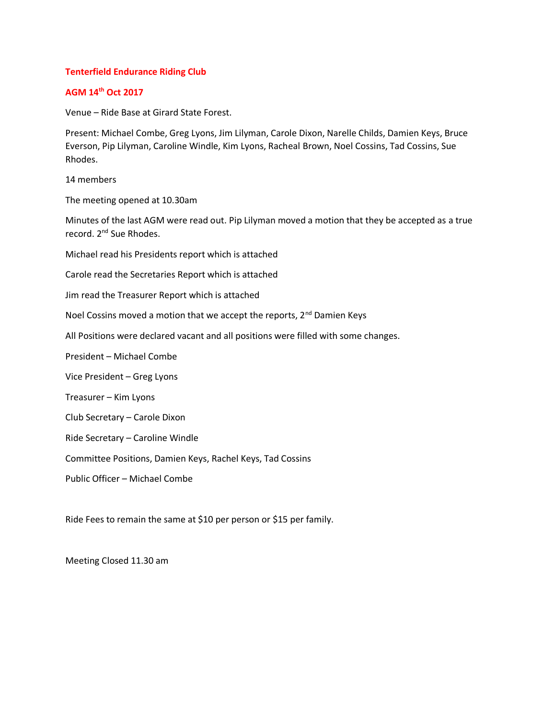### **Tenterfield Endurance Riding Club**

# **AGM 14th Oct 2017**

Venue – Ride Base at Girard State Forest.

Present: Michael Combe, Greg Lyons, Jim Lilyman, Carole Dixon, Narelle Childs, Damien Keys, Bruce Everson, Pip Lilyman, Caroline Windle, Kim Lyons, Racheal Brown, Noel Cossins, Tad Cossins, Sue Rhodes.

14 members

The meeting opened at 10.30am

Minutes of the last AGM were read out. Pip Lilyman moved a motion that they be accepted as a true record. 2<sup>nd</sup> Sue Rhodes.

Michael read his Presidents report which is attached

Carole read the Secretaries Report which is attached

Jim read the Treasurer Report which is attached

Noel Cossins moved a motion that we accept the reports, 2<sup>nd</sup> Damien Keys

All Positions were declared vacant and all positions were filled with some changes.

President – Michael Combe

Vice President – Greg Lyons

Treasurer – Kim Lyons

Club Secretary – Carole Dixon

Ride Secretary – Caroline Windle

Committee Positions, Damien Keys, Rachel Keys, Tad Cossins

Public Officer – Michael Combe

Ride Fees to remain the same at \$10 per person or \$15 per family.

Meeting Closed 11.30 am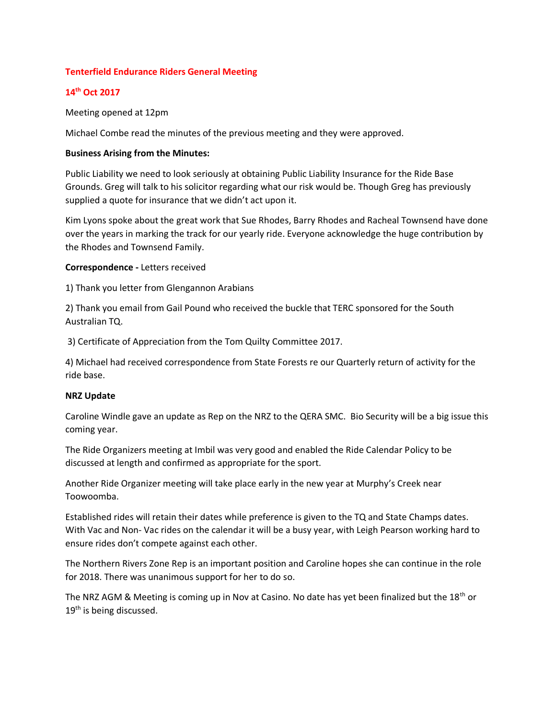## **Tenterfield Endurance Riders General Meeting**

# **14th Oct 2017**

Meeting opened at 12pm

Michael Combe read the minutes of the previous meeting and they were approved.

#### **Business Arising from the Minutes:**

Public Liability we need to look seriously at obtaining Public Liability Insurance for the Ride Base Grounds. Greg will talk to his solicitor regarding what our risk would be. Though Greg has previously supplied a quote for insurance that we didn't act upon it.

Kim Lyons spoke about the great work that Sue Rhodes, Barry Rhodes and Racheal Townsend have done over the years in marking the track for our yearly ride. Everyone acknowledge the huge contribution by the Rhodes and Townsend Family.

**Correspondence -** Letters received

1) Thank you letter from Glengannon Arabians

2) Thank you email from Gail Pound who received the buckle that TERC sponsored for the South Australian TQ.

3) Certificate of Appreciation from the Tom Quilty Committee 2017.

4) Michael had received correspondence from State Forests re our Quarterly return of activity for the ride base.

#### **NRZ Update**

Caroline Windle gave an update as Rep on the NRZ to the QERA SMC. Bio Security will be a big issue this coming year.

The Ride Organizers meeting at Imbil was very good and enabled the Ride Calendar Policy to be discussed at length and confirmed as appropriate for the sport.

Another Ride Organizer meeting will take place early in the new year at Murphy's Creek near Toowoomba.

Established rides will retain their dates while preference is given to the TQ and State Champs dates. With Vac and Non- Vac rides on the calendar it will be a busy year, with Leigh Pearson working hard to ensure rides don't compete against each other.

The Northern Rivers Zone Rep is an important position and Caroline hopes she can continue in the role for 2018. There was unanimous support for her to do so.

The NRZ AGM & Meeting is coming up in Nov at Casino. No date has yet been finalized but the 18<sup>th</sup> or 19<sup>th</sup> is being discussed.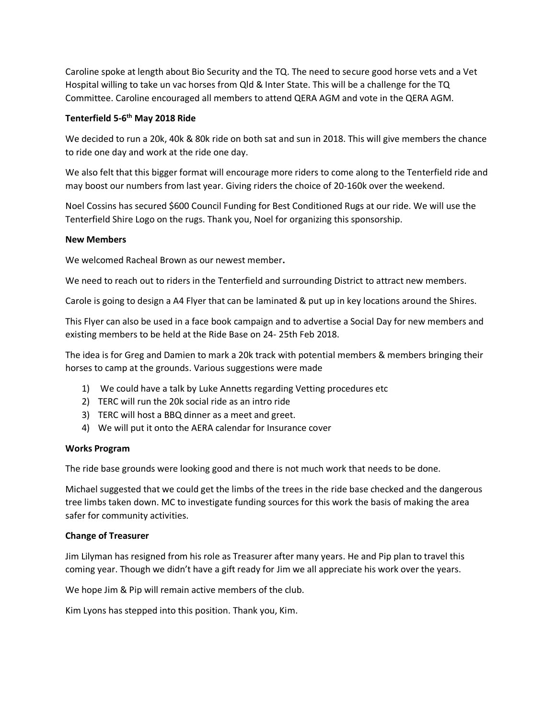Caroline spoke at length about Bio Security and the TQ. The need to secure good horse vets and a Vet Hospital willing to take un vac horses from Qld & Inter State. This will be a challenge for the TQ Committee. Caroline encouraged all members to attend QERA AGM and vote in the QERA AGM.

# **Tenterfield 5-6 th May 2018 Ride**

We decided to run a 20k, 40k & 80k ride on both sat and sun in 2018. This will give members the chance to ride one day and work at the ride one day.

We also felt that this bigger format will encourage more riders to come along to the Tenterfield ride and may boost our numbers from last year. Giving riders the choice of 20-160k over the weekend.

Noel Cossins has secured \$600 Council Funding for Best Conditioned Rugs at our ride. We will use the Tenterfield Shire Logo on the rugs. Thank you, Noel for organizing this sponsorship.

# **New Members**

We welcomed Racheal Brown as our newest member**.**

We need to reach out to riders in the Tenterfield and surrounding District to attract new members.

Carole is going to design a A4 Flyer that can be laminated & put up in key locations around the Shires.

This Flyer can also be used in a face book campaign and to advertise a Social Day for new members and existing members to be held at the Ride Base on 24- 25th Feb 2018.

The idea is for Greg and Damien to mark a 20k track with potential members & members bringing their horses to camp at the grounds. Various suggestions were made

- 1) We could have a talk by Luke Annetts regarding Vetting procedures etc
- 2) TERC will run the 20k social ride as an intro ride
- 3) TERC will host a BBQ dinner as a meet and greet.
- 4) We will put it onto the AERA calendar for Insurance cover

# **Works Program**

The ride base grounds were looking good and there is not much work that needs to be done.

Michael suggested that we could get the limbs of the trees in the ride base checked and the dangerous tree limbs taken down. MC to investigate funding sources for this work the basis of making the area safer for community activities.

# **Change of Treasurer**

Jim Lilyman has resigned from his role as Treasurer after many years. He and Pip plan to travel this coming year. Though we didn't have a gift ready for Jim we all appreciate his work over the years.

We hope Jim & Pip will remain active members of the club.

Kim Lyons has stepped into this position. Thank you, Kim.